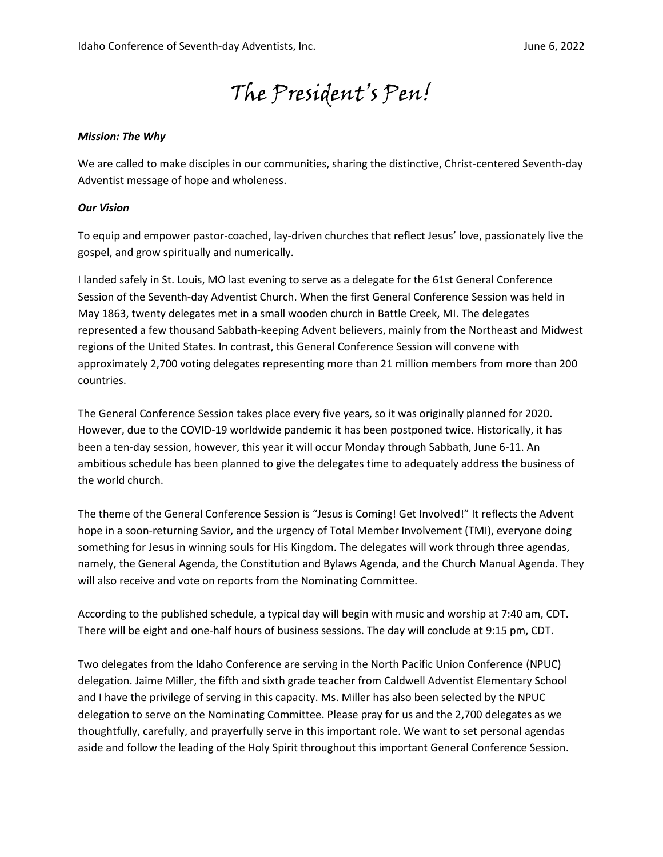# The President's Pen!

#### *Mission: The Why*

We are called to make disciples in our communities, sharing the distinctive, Christ-centered Seventh-day Adventist message of hope and wholeness.

#### *Our Vision*

To equip and empower pastor-coached, lay-driven churches that reflect Jesus' love, passionately live the gospel, and grow spiritually and numerically.

I landed safely in St. Louis, MO last evening to serve as a delegate for the 61st General Conference Session of the Seventh-day Adventist Church. When the first General Conference Session was held in May 1863, twenty delegates met in a small wooden church in Battle Creek, MI. The delegates represented a few thousand Sabbath-keeping Advent believers, mainly from the Northeast and Midwest regions of the United States. In contrast, this General Conference Session will convene with approximately 2,700 voting delegates representing more than 21 million members from more than 200 countries.

The General Conference Session takes place every five years, so it was originally planned for 2020. However, due to the COVID-19 worldwide pandemic it has been postponed twice. Historically, it has been a ten-day session, however, this year it will occur Monday through Sabbath, June 6-11. An ambitious schedule has been planned to give the delegates time to adequately address the business of the world church.

The theme of the General Conference Session is "Jesus is Coming! Get Involved!" It reflects the Advent hope in a soon-returning Savior, and the urgency of Total Member Involvement (TMI), everyone doing something for Jesus in winning souls for His Kingdom. The delegates will work through three agendas, namely, the General Agenda, the Constitution and Bylaws Agenda, and the Church Manual Agenda. They will also receive and vote on reports from the Nominating Committee.

According to the published schedule, a typical day will begin with music and worship at 7:40 am, CDT. There will be eight and one-half hours of business sessions. The day will conclude at 9:15 pm, CDT.

Two delegates from the Idaho Conference are serving in the North Pacific Union Conference (NPUC) delegation. Jaime Miller, the fifth and sixth grade teacher from Caldwell Adventist Elementary School and I have the privilege of serving in this capacity. Ms. Miller has also been selected by the NPUC delegation to serve on the Nominating Committee. Please pray for us and the 2,700 delegates as we thoughtfully, carefully, and prayerfully serve in this important role. We want to set personal agendas aside and follow the leading of the Holy Spirit throughout this important General Conference Session.